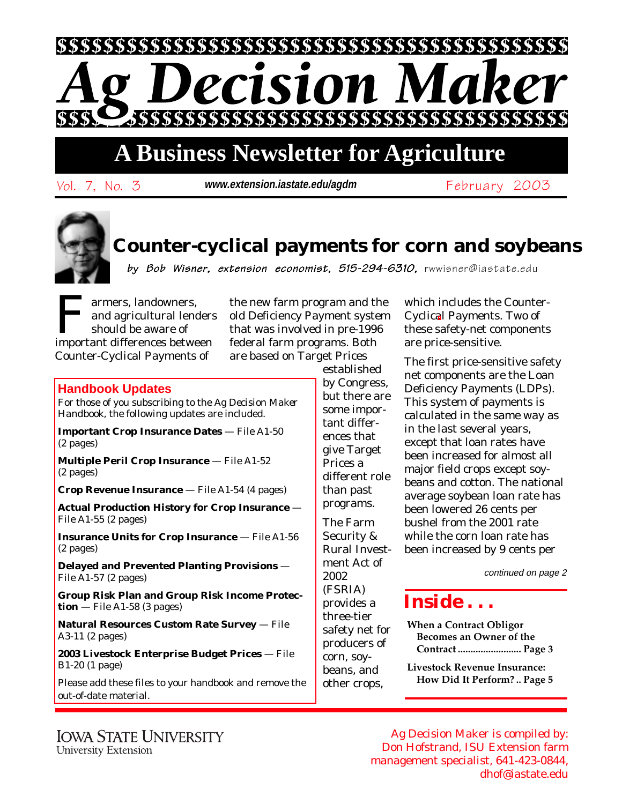

# **A Business Newsletter for Agriculture**

Vol. 7, No. 3 February 2003 **www.extension.iastate.edu/agdm**

## **Counter-cyclical payments for corn and soybeans**

by Bob Wisner, extension economist, 515-294-6310, rwwisner@iastate.edu

Farmers, landowners,<br>and agricultural length<br>should be aware of<br>important differences between and agricultural lenders should be aware of important differences between Counter-Cyclical Payments of

the new farm program and the old Deficiency Payment system that was involved in pre-1996 federal farm programs. Both are based on Target Prices

### **Handbook Updates**

For those of you subscribing to the *Ag Decision Maker Handbook*, the following updates are included.

**Important Crop Insurance Dates** — File A1-50 (2 pages)

**Multiple Peril Crop Insurance** — File A1-52 (2 pages)

**Crop Revenue Insurance** — File A1-54 (4 pages)

**Actual Production History for Crop Insurance** — File A1-55 (2 pages)

**Insurance Units for Crop Insurance** — File A1-56 (2 pages)

**Delayed and Prevented Planting Provisions** — File A1-57 (2 pages)

**Group Risk Plan and Group Risk Income Protection** — File A1-58 (3 pages)

**Natural Resources Custom Rate Survey** — File A3-11 (2 pages)

**2003 Livestock Enterprise Budget Prices** — File B1-20 (1 page)

Please add these files to your handbook and remove the out-of-date material.

established by Congress, but there are some important differences that give Target Prices a different role than past programs. The Farm Security & Rural Investment Act of 2002 (FSRIA) provides a three-tier safety net for producers of

corn, soybeans, and other crops, which includes the Counter-Cyclical Payments. Two of these safety-net components are price-sensitive.

The first price-sensitive safety net components are the Loan Deficiency Payments (LDPs). This system of payments is calculated in the same way as in the last several years, except that loan rates have been increased for almost all major field crops except soybeans and cotton. The national average soybean loan rate has been lowered 26 cents per bushel from the 2001 rate while the corn loan rate has been increased by 9 cents per

continued on page 2

## *Inside . . .*

**When a Contract Obligor Becomes an Owner of the Contract ......................... Page 3**

**Livestock Revenue Insurance: How Did It Perform? .. Page 5**

**IOWA STATE UNIVERSITY University Extension** 

Ag Decision Maker is compiled by: Don Hofstrand, ISU Extension farm management specialist, 641-423-0844, dhof@iastate.edu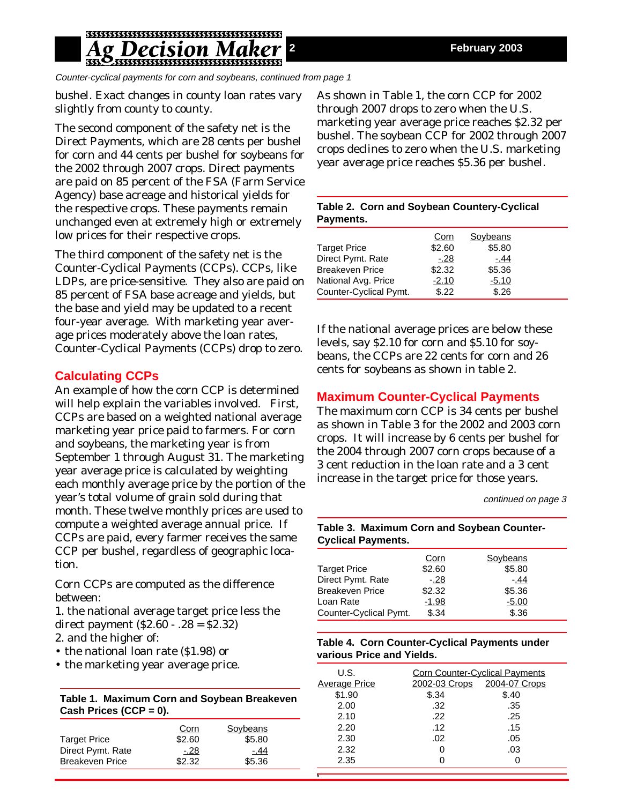## Pecision N

Counter-cyclical payments for corn and soybeans, continued from page 1

bushel. Exact changes in county loan rates vary slightly from county to county.

The second component of the safety net is the Direct Payments, which are 28 cents per bushel for corn and 44 cents per bushel for soybeans for the 2002 through 2007 crops. Direct payments are paid on 85 percent of the FSA (Farm Service Agency) base acreage and historical yields for the respective crops. These payments remain unchanged even at extremely high or extremely low prices for their respective crops.

The third component of the safety net is the Counter-Cyclical Payments (CCPs). CCPs, like LDPs, are price-sensitive. They also are paid on 85 percent of FSA base acreage and yields, but the base and yield may be updated to a recent four-year average. With marketing year average prices moderately above the loan rates, Counter-Cyclical Payments (CCPs) drop to zero.

### **Calculating CCPs**

An example of how the corn CCP is determined will help explain the variables involved. First, CCPs are based on a weighted national average marketing year price paid to farmers. For corn and soybeans, the marketing year is from September 1 through August 31. The marketing year average price is calculated by weighting each monthly average price by the portion of the year's total volume of grain sold during that month. These twelve monthly prices are used to compute a weighted average annual price. If CCPs are paid, every farmer receives the same CCP per bushel, regardless of geographic location.

Corn CCPs are computed as the difference between:

1. the national average target price less the direct payment (\$2.60 - .28 = \$2.32)

2. and the higher of:

- the national loan rate (\$1.98) or
- the marketing year average price.

**Table 1. Maximum Corn and Soybean Breakeven Cash Prices (CCP = 0).**

|                        | Corn   | Soybeans |  |
|------------------------|--------|----------|--|
| <b>Target Price</b>    | \$2.60 | \$5.80   |  |
| Direct Pymt. Rate      | $-.28$ | - 44     |  |
| <b>Breakeven Price</b> | \$2.32 | \$5.36   |  |
|                        |        |          |  |

As shown in Table 1, the corn CCP for 2002 through 2007 drops to zero when the U.S. marketing year average price reaches \$2.32 per bushel. The soybean CCP for 2002 through 2007 crops declines to zero when the U.S. marketing year average price reaches \$5.36 per bushel.

|           | Table 2. Corn and Soybean Countery-Cyclical |
|-----------|---------------------------------------------|
| Payments. |                                             |

|                        | Corn    | Soybeans |  |
|------------------------|---------|----------|--|
| <b>Target Price</b>    | \$2.60  | \$5.80   |  |
| Direct Pymt. Rate      | $-.28$  | -.44     |  |
| <b>Breakeven Price</b> | \$2.32  | \$5.36   |  |
| National Avg. Price    | $-2.10$ | $-5.10$  |  |
| Counter-Cyclical Pymt. | \$.22   | \$.26    |  |

If the national average prices are below these levels, say \$2.10 for corn and \$5.10 for soybeans, the CCPs are 22 cents for corn and 26 cents for soybeans as shown in table 2.

## **Maximum Counter-Cyclical Payments**

The maximum corn CCP is 34 cents per bushel as shown in Table 3 for the 2002 and 2003 corn crops. It will increase by 6 cents per bushel for the 2004 through 2007 corn crops because of a 3 cent reduction in the loan rate and a 3 cent increase in the target price for those years.

continued on page 3

#### **Table 3. Maximum Corn and Soybean Counter-Cyclical Payments.**

|                        | Corn    | Soybeans |
|------------------------|---------|----------|
| <b>Target Price</b>    | \$2.60  | \$5.80   |
| Direct Pymt. Rate      | $-.28$  | $-.44$   |
| <b>Breakeven Price</b> | \$2.32  | \$5.36   |
| Loan Rate              | $-1.98$ | $-5.00$  |
| Counter-Cyclical Pymt. | \$.34   | \$.36    |

#### **Table 4. Corn Counter-Cyclical Payments under various Price and Yields.**

| U.S.                 |               | <b>Corn Counter-Cyclical Payments</b> |  |  |  |
|----------------------|---------------|---------------------------------------|--|--|--|
| <b>Average Price</b> | 2002-03 Crops | 2004-07 Crops                         |  |  |  |
| \$1.90               | \$.34         | \$.40                                 |  |  |  |
| 2.00                 | .32           | .35                                   |  |  |  |
| 2.10                 | .22           | .25                                   |  |  |  |
| 2.20                 | .12           | .15                                   |  |  |  |
| 2.30                 | .02           | .05                                   |  |  |  |
| 2.32                 | ი             | .03                                   |  |  |  |
| 2.35                 |               |                                       |  |  |  |
|                      |               |                                       |  |  |  |

**5**